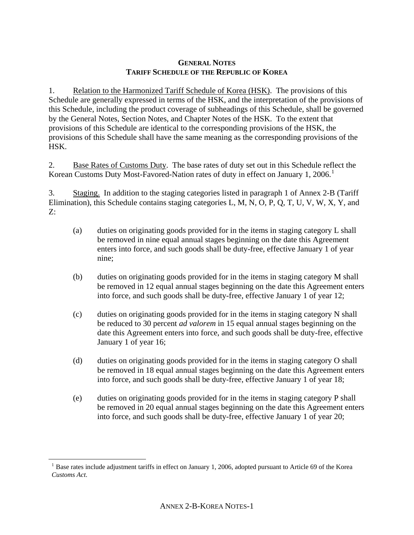## **GENERAL NOTES TARIFF SCHEDULE OF THE REPUBLIC OF KOREA**

1. Relation to the Harmonized Tariff Schedule of Korea (HSK). The provisions of this Schedule are generally expressed in terms of the HSK, and the interpretation of the provisions of this Schedule, including the product coverage of subheadings of this Schedule, shall be governed by the General Notes, Section Notes, and Chapter Notes of the HSK. To the extent that provisions of this Schedule are identical to the corresponding provisions of the HSK, the provisions of this Schedule shall have the same meaning as the corresponding provisions of the HSK.

2. Base Rates of Customs Duty. The base rates of duty set out in this Schedule reflect the Korean Customs Duty Most-Favored-Nation rates of duty in effect on January [1](#page-0-0), 2006.<sup>1</sup>

3. Staging. In addition to the staging categories listed in paragraph 1 of Annex 2-B (Tariff Elimination), this Schedule contains staging categories L, M, N, O, P, Q, T, U, V, W, X, Y, and Z:

- (a) duties on originating goods provided for in the items in staging category L shall be removed in nine equal annual stages beginning on the date this Agreement enters into force, and such goods shall be duty-free, effective January 1 of year nine;
- (b) duties on originating goods provided for in the items in staging category M shall be removed in 12 equal annual stages beginning on the date this Agreement enters into force, and such goods shall be duty-free, effective January 1 of year 12;
- (c) duties on originating goods provided for in the items in staging category N shall be reduced to 30 percent *ad valorem* in 15 equal annual stages beginning on the date this Agreement enters into force, and such goods shall be duty-free, effective January 1 of year 16;
- (d) duties on originating goods provided for in the items in staging category O shall be removed in 18 equal annual stages beginning on the date this Agreement enters into force, and such goods shall be duty-free, effective January 1 of year 18;
- (e) duties on originating goods provided for in the items in staging category P shall be removed in 20 equal annual stages beginning on the date this Agreement enters into force, and such goods shall be duty-free, effective January 1 of year 20;

<span id="page-0-0"></span> $\overline{a}$ 

<sup>&</sup>lt;sup>1</sup> Base rates include adjustment tariffs in effect on January 1, 2006, adopted pursuant to Article 69 of the Korea *Customs Act*.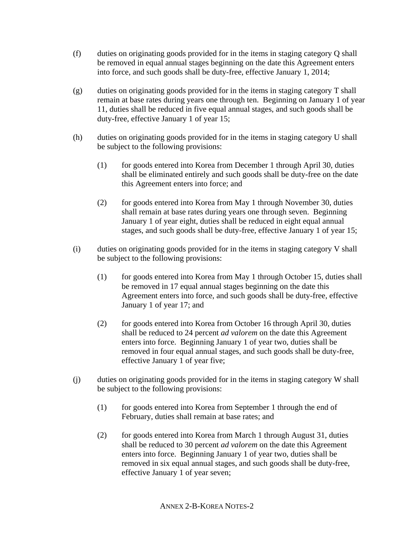- (f) duties on originating goods provided for in the items in staging category Q shall be removed in equal annual stages beginning on the date this Agreement enters into force, and such goods shall be duty-free, effective January 1, 2014;
- (g) duties on originating goods provided for in the items in staging category T shall remain at base rates during years one through ten. Beginning on January 1 of year 11, duties shall be reduced in five equal annual stages, and such goods shall be duty-free, effective January 1 of year 15;
- (h) duties on originating goods provided for in the items in staging category U shall be subject to the following provisions:
	- (1) for goods entered into Korea from December 1 through April 30, duties shall be eliminated entirely and such goods shall be duty-free on the date this Agreement enters into force; and
	- (2) for goods entered into Korea from May 1 through November 30, duties shall remain at base rates during years one through seven. Beginning January 1 of year eight, duties shall be reduced in eight equal annual stages, and such goods shall be duty-free, effective January 1 of year 15;
- (i) duties on originating goods provided for in the items in staging category V shall be subject to the following provisions:
	- (1) for goods entered into Korea from May 1 through October 15, duties shall be removed in 17 equal annual stages beginning on the date this Agreement enters into force, and such goods shall be duty-free, effective January 1 of year 17; and
	- (2) for goods entered into Korea from October 16 through April 30, duties shall be reduced to 24 percent *ad valorem* on the date this Agreement enters into force. Beginning January 1 of year two, duties shall be removed in four equal annual stages, and such goods shall be duty-free, effective January 1 of year five;
- (j) duties on originating goods provided for in the items in staging category W shall be subject to the following provisions:
	- (1) for goods entered into Korea from September 1 through the end of February, duties shall remain at base rates; and
	- (2) for goods entered into Korea from March 1 through August 31, duties shall be reduced to 30 percent *ad valorem* on the date this Agreement enters into force. Beginning January 1 of year two, duties shall be removed in six equal annual stages, and such goods shall be duty-free, effective January 1 of year seven;